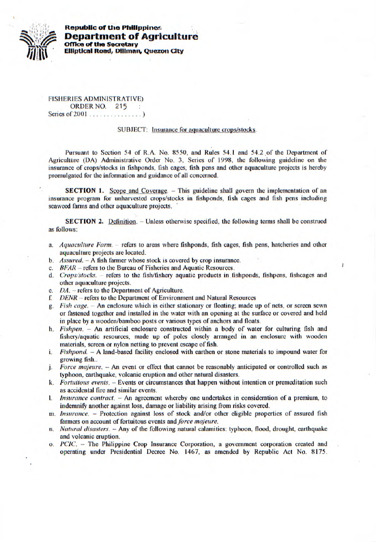

**Republic of the Philippines Department of Agriculture Office of the Secretary** *1iIiIt* **Elliptical Road, Dilirnan, Queron City** 

FISHERIES ADMINISTRATIVE) ORDER NO. 215 Series of 2001 . . . . . . .

## SUBJECT: Insurance for aquaculture crops/stocks.

**Pursuant to** Section 54 of R.A. No. *8550,* and Rules *54.1* and *54.2* of the Department of Agriculture (DA) Administrative Order No. 3, Series of 1998, the following guideline on the insurance of crops/stocks in fishponds, fish cages, fish pens and other aquaculture projects is hereby promulgated for the information and guidance of all concerned.

**SECTION 1.** Scope and Coverage. - This guideline shall govern the implementation of an insurance program for unharvested crops/stocks in fishponds, fish cages and fish pens including seaweed farms and other aquaculture projects.

SECTION 2. Definition. - Unless otherwise specified, the following terms shall be construed as follows:

- *a. Aquacullure Farm.* refers to areas where fishponds, fish cages, fish pens, hatcheries and other aquaculture projects are located.
- *b. Assured.*  A fish farmer whose stock is covered by crop insurance.
- *c. BFAR refers to the Bureau of Fisheries and Aquatic Resources.*<br>d. *Crops/stocks. refers to the fish/fishery aquatic products in fi*
- *Crops/stocks.* refers to the fish/fishery aquatic products in fishponds, fishpens, fishcages and other aquaculture projects.
- *e. DA.* refers to the Department of Agriculture.
- *f. DENR* refers to the Department of Environment and Natural Resources
- *g. Fish cage.* An enclosure which is either stationary or floating; made up of nets, or screen sewn or fastened together and installed in the water with an opening at the surface or covered and held in place by a wooden/bamboo posts or various types of anchors and floats.
- *h. Fishpen.* An artificial enclosure constructed within a body of water for culturing fish and fishery/aquatic resources, made up of poles closely arranged in an enclosure with wooden materials, screen or nylon netting to prevent escape of fish.
- *i. Fishpond. A* land-based facility enclosed with earthen or stone materials to impound water for growing fish..
- *j. Force majeure.* An event or effect that cannot be reasonably anticipated or controlled such as typhoon, earthquake, volcanic eruption and other natural disasters.
- *k. Fortuitous events.* Events or circumstances that happen without intention or premeditation such as accidental fire and similar events.
- 1. *Insurance contract.* An agreement whereby one undertakes in consideration of a premium. to indemnify another against loss, damage or liability arising from risks covered.
- m. *Insurance.* Protection against loss of stock and/or other eligible properties of assured fish farmers on account of fortuitous events and *force majeure*.
- *n. Natural disasters.* Any of the following natural calamities: typhoon. flood, drought, earthquake and volcanic eruption.
- *o. PCIC.*  The Philippine Crop Insurance Corporation, a government corporation created and operating under Presidential Decree No. 1467, as amended by Republic Act No. 8175.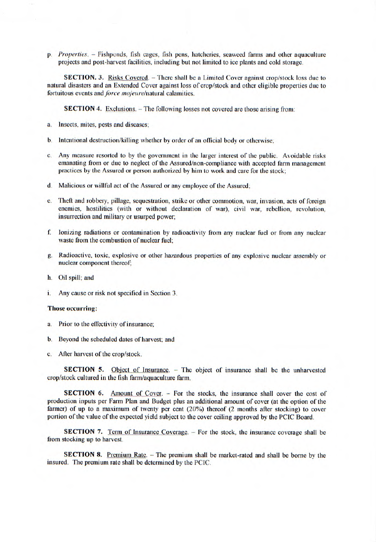*p. Properties.* - Fishponds, fish cagcs, fish pens, hatcheries, seaweed farms and other aquaculture projects and post-harvest facilities, including but not limited to ice plants and cold storage.

**SECTION. 3.** Risks Covered. – There shall be a Limited Cover against crop/stock loss due to natural disasters and an Extended Cover against loss of crop/stock and other eligible properties due to *fortuitous events and force majeure/natural* calamities.

**SECTION 4.** Exclusions. - The following losses not covered are those arising from:

- a. Insects, mites, pests and diseases;
- b. intentional destruction/killing whether by order of an official body or otherwise;
- c. Any measure resorted to by the government in the larger interest of the public. Avoidable risks emanating from or due to neglect of the Assured/non-compliance with accepted farm management practices by the Assured or person authorized by him to work and care for the stock;
- d. Malicious or willful act of the Assured or any employee of the Assured;
- e. Theft and robbery, pillage, sequestration, strike or other commotion, war, invasion, acts of foreign enemies, hostilities (with or without declaration of war), civil war, rebellion, revolution, insurrection and military or usurped power;
- f. Ionizing radiations or contamination by radioactivity from any nuclear fuel or from any nuclear waste from the combustion of nuclear fuel;
- g. Radioactive, toxic, explosive or other hazardous properties of any explosive nuclear assembly or nuclear component thereof,
- h. Oil spill; and
- i. Any cause or risk not specified in Section 3.

## Those occurring:

- a. Prior to the effectivity of insurance;
- b. Beyond the scheduled dates of harvest; and
- c. After harvest of the crop/stock.

**SECTION 5.** Object of Insurance. - The object of insurance shall be the unharvested crop/stock cultured in the fish **farm/aquaculture** farm.

**SECTION 6.** Amount of Cover. - For the stocks, the insurance shall cover the cost of production inputs per Farm Plan and Budget plus an additional amount of cover (at the option of the farmer) of up to a maximum of twenty per cent (20%) thereof (2 months after stocking) to cover portion of the value of the expected yield subject to the cover ceiling approved by the PCIC Board.

**SECTION** 7. Term of Insurance Coverage. – For the stock, the insurance coverage shall be from stocking up to harvest.

**SECTION 8.** Premium Rate. - The premium shall be market-rated and shall be borne by the insured. The premium rate shall be determined by the PCIC.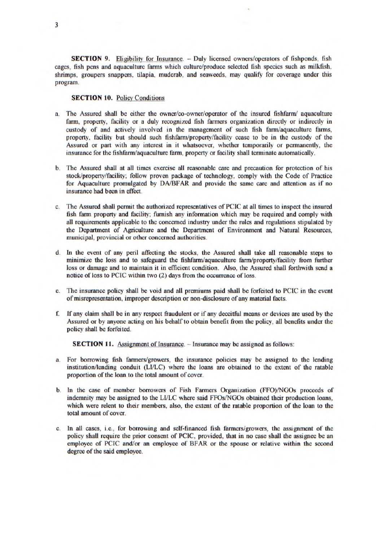**SECTION 9.** Eligibility for Insurance. - Duly licensed owners/operators of fishponds, fish cages, fish pens and aquaculture farms which culture/produce selected fish species such as milkfish. shrimps, groupers snappers, tilapia, mudcrab, and seaweeds, may qualify for coverage under this program.

## **SECTION 10. Policy Conditions**

- The Assured shall be either the owner/co-owner/operator of the insured fishfarm/ aquaculture farm, property, facility or a duly recognized fish fanners organization directly or indirectly in custody of and actively involved in the management of such fish farm/aquaculture farms, property, facility but should such fishfarm/property/facility cease to be in the custody of the Assured or part with any interest in it whatsoever, whether temporarily or permanently, the insurance for the fishfarm/aquaculture farm, property or facility shall terminate automatically.
- b. The Assured shall at all times exercise all reasonable care and precaution for protection of his stock/property/facility; follow proven package of technology, comply with the Code of Practice for Aquaculture promulgated by DA/BFAR and provide the same care and attention as if no insurance had been in effect.
- c. The Assured shall permit the authorized representatives of PCIC at all times to inspect the insured fish farm property and facility; furnish any information which may be required and comply with all requirements applicable to the concerned industry under the rules and regulations stipulated by the Department of Agriculture and the Department of Environment and Natural Resources, municipal. provincial or other concerned authorities.
- d. In the event of any peril affecting the stocks, the Assured shall take all reasonable steps to minimize the loss and to safeguard the fishfarm/aquaculture farm/property/facility from further loss or damage and to maintain it in efficient condition. Also, the Assured shall forthwith send a notice of loss to PCIC within two (2) days from the occurrence of loss.
- e. The insurance policy shall be void and all premiums paid shall be forfeited to PCIC in the event of misrepresentation, improper description or non-disclosure of any material facts.
- f. If any claim shall be in any respect fraudulent or if any deceitful means or devices are used by the Assured or by anyone acting on his behalf to obtain benefit from the policy, all benefits under the policy shall be forfeited.

**SECTION 11.** Assignment of Insurance. - Insurance may be assigned as follows:

- a. For borrowing fish farmers/growers, the insurance policies may be assigned to the lending institution/lending conduit (LIJLC) where the loans are obtained to the extent of the ratable proportion of the loan to the total amount of cover.
- b. In the case of member borrowers of Fish Farmers Organization (FFO)/NGOs proceeds of indemnity may be assigned to the LIJLC where said FFOs/NGOs obtained their production loans, which were relent to their members, also, the extent of the ratable proportion of the loan to the total amount of cover.
- In all cases, i.e., for borrowing and self-financed fish farmers/growers, the assignment of the policy shall require the prior consent of PCIC, provided, that in no case shall the assignee be an employee of PCIC and/or an employee of BFAR or the spouse or relative within the second degree of the said employee.